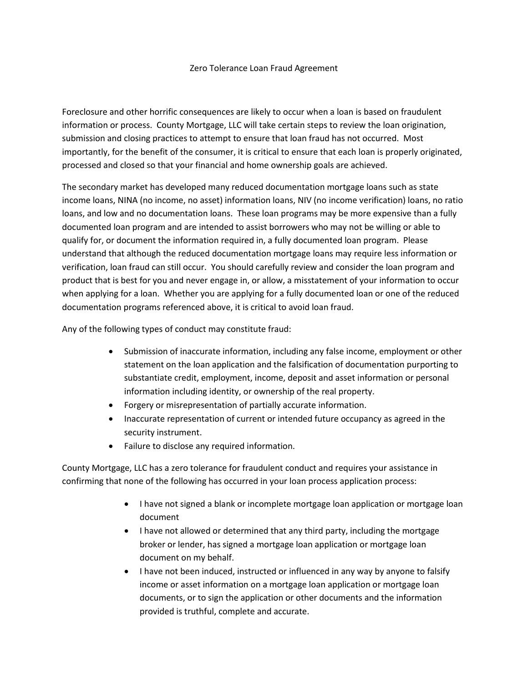## Zero Tolerance Loan Fraud Agreement

Foreclosure and other horrific consequences are likely to occur when a loan is based on fraudulent information or process. County Mortgage, LLC will take certain steps to review the loan origination, submission and closing practices to attempt to ensure that loan fraud has not occurred. Most importantly, for the benefit of the consumer, it is critical to ensure that each loan is properly originated, processed and closed so that your financial and home ownership goals are achieved.

The secondary market has developed many reduced documentation mortgage loans such as state income loans, NINA (no income, no asset) information loans, NIV (no income verification) loans, no ratio loans, and low and no documentation loans. These loan programs may be more expensive than a fully documented loan program and are intended to assist borrowers who may not be willing or able to qualify for, or document the information required in, a fully documented loan program. Please understand that although the reduced documentation mortgage loans may require less information or verification, loan fraud can still occur. You should carefully review and consider the loan program and product that is best for you and never engage in, or allow, a misstatement of your information to occur when applying for a loan. Whether you are applying for a fully documented loan or one of the reduced documentation programs referenced above, it is critical to avoid loan fraud.

Any of the following types of conduct may constitute fraud:

- Submission of inaccurate information, including any false income, employment or other statement on the loan application and the falsification of documentation purporting to substantiate credit, employment, income, deposit and asset information or personal information including identity, or ownership of the real property.
- Forgery or misrepresentation of partially accurate information.
- Inaccurate representation of current or intended future occupancy as agreed in the security instrument.
- Failure to disclose any required information.

County Mortgage, LLC has a zero tolerance for fraudulent conduct and requires your assistance in confirming that none of the following has occurred in your loan process application process:

- I have not signed a blank or incomplete mortgage loan application or mortgage loan document
- I have not allowed or determined that any third party, including the mortgage broker or lender, has signed a mortgage loan application or mortgage loan document on my behalf.
- I have not been induced, instructed or influenced in any way by anyone to falsify income or asset information on a mortgage loan application or mortgage loan documents, or to sign the application or other documents and the information provided is truthful, complete and accurate.